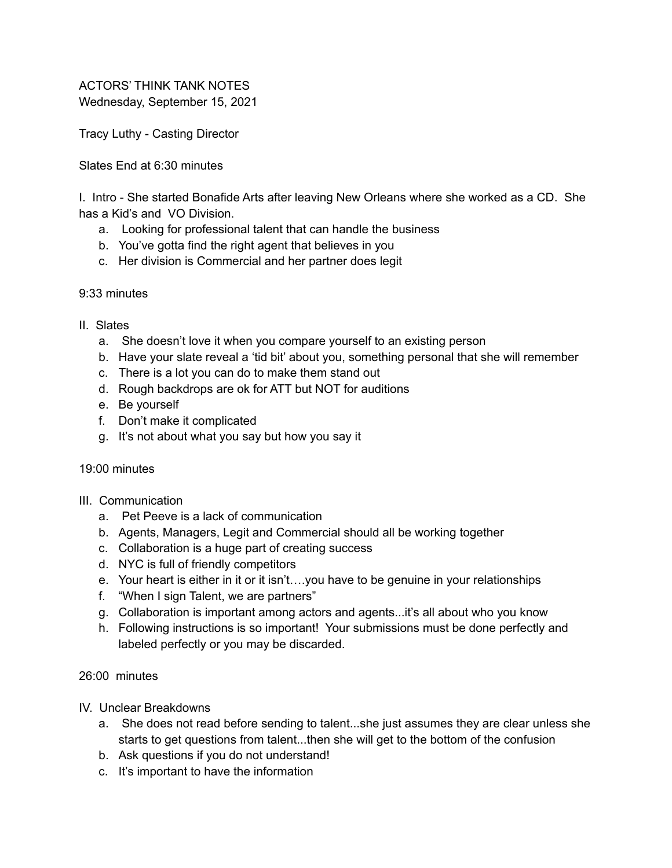ACTORS' THINK TANK NOTES Wednesday, September 15, 2021

Tracy Luthy - Casting Director

Slates End at 6:30 minutes

I. Intro - She started Bonafide Arts after leaving New Orleans where she worked as a CD. She has a Kid's and VO Division.

- a. Looking for professional talent that can handle the business
- b. You've gotta find the right agent that believes in you
- c. Her division is Commercial and her partner does legit

## 9:33 minutes

- II. Slates
	- a. She doesn't love it when you compare yourself to an existing person
	- b. Have your slate reveal a 'tid bit' about you, something personal that she will remember
	- c. There is a lot you can do to make them stand out
	- d. Rough backdrops are ok for ATT but NOT for auditions
	- e. Be yourself
	- f. Don't make it complicated
	- g. It's not about what you say but how you say it

## 19:00 minutes

- III. Communication
	- a. Pet Peeve is a lack of communication
	- b. Agents, Managers, Legit and Commercial should all be working together
	- c. Collaboration is a huge part of creating success
	- d. NYC is full of friendly competitors
	- e. Your heart is either in it or it isn't….you have to be genuine in your relationships
	- f. "When I sign Talent, we are partners"
	- g. Collaboration is important among actors and agents...it's all about who you know
	- h. Following instructions is so important! Your submissions must be done perfectly and labeled perfectly or you may be discarded.

26:00 minutes

- IV. Unclear Breakdowns
	- a. She does not read before sending to talent...she just assumes they are clear unless she starts to get questions from talent...then she will get to the bottom of the confusion
	- b. Ask questions if you do not understand!
	- c. It's important to have the information